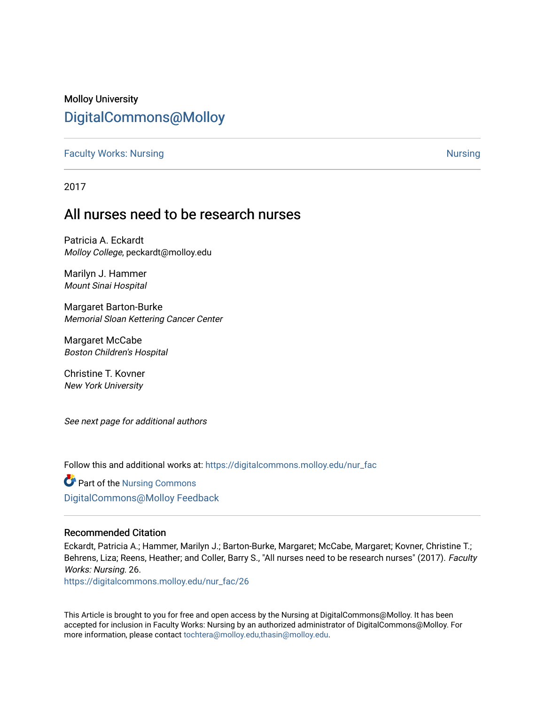### Molloy University [DigitalCommons@Molloy](https://digitalcommons.molloy.edu/)

**[Faculty Works: Nursing](https://digitalcommons.molloy.edu/nur_fac) [Nursing](https://digitalcommons.molloy.edu/nur) Nursing Nursing Nursing Nursing Nursing Nursing Nursing Nursing Nursing Nursing** 

2017

## All nurses need to be research nurses

Patricia A. Eckardt Molloy College, peckardt@molloy.edu

Marilyn J. Hammer Mount Sinai Hospital

Margaret Barton-Burke Memorial Sloan Kettering Cancer Center

Margaret McCabe Boston Children's Hospital

Christine T. Kovner New York University

See next page for additional authors

Follow this and additional works at: [https://digitalcommons.molloy.edu/nur\\_fac](https://digitalcommons.molloy.edu/nur_fac?utm_source=digitalcommons.molloy.edu%2Fnur_fac%2F26&utm_medium=PDF&utm_campaign=PDFCoverPages)

Part of the [Nursing Commons](https://network.bepress.com/hgg/discipline/718?utm_source=digitalcommons.molloy.edu%2Fnur_fac%2F26&utm_medium=PDF&utm_campaign=PDFCoverPages)  [DigitalCommons@Molloy Feedback](https://molloy.libwizard.com/f/dcfeedback)

### Recommended Citation

Eckardt, Patricia A.; Hammer, Marilyn J.; Barton-Burke, Margaret; McCabe, Margaret; Kovner, Christine T.; Behrens, Liza; Reens, Heather; and Coller, Barry S., "All nurses need to be research nurses" (2017). Faculty Works: Nursing. 26.

[https://digitalcommons.molloy.edu/nur\\_fac/26](https://digitalcommons.molloy.edu/nur_fac/26?utm_source=digitalcommons.molloy.edu%2Fnur_fac%2F26&utm_medium=PDF&utm_campaign=PDFCoverPages) 

This Article is brought to you for free and open access by the Nursing at DigitalCommons@Molloy. It has been accepted for inclusion in Faculty Works: Nursing by an authorized administrator of DigitalCommons@Molloy. For more information, please contact [tochtera@molloy.edu,thasin@molloy.edu.](mailto:tochtera@molloy.edu,thasin@molloy.edu)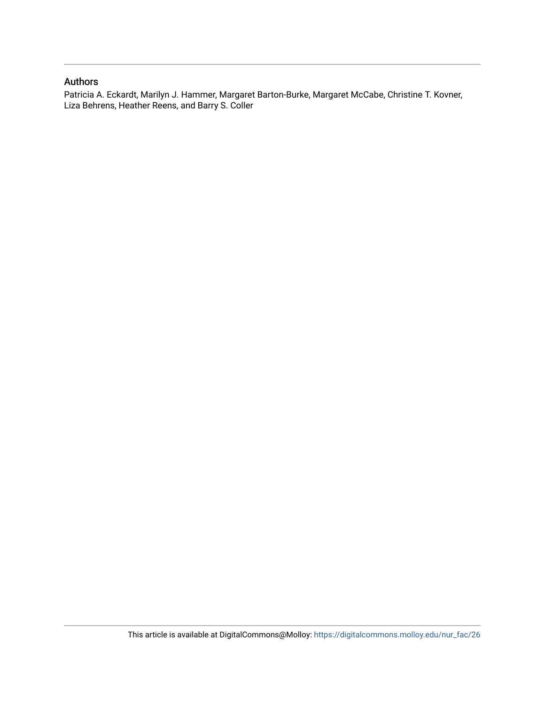### Authors

Patricia A. Eckardt, Marilyn J. Hammer, Margaret Barton-Burke, Margaret McCabe, Christine T. Kovner, Liza Behrens, Heather Reens, and Barry S. Coller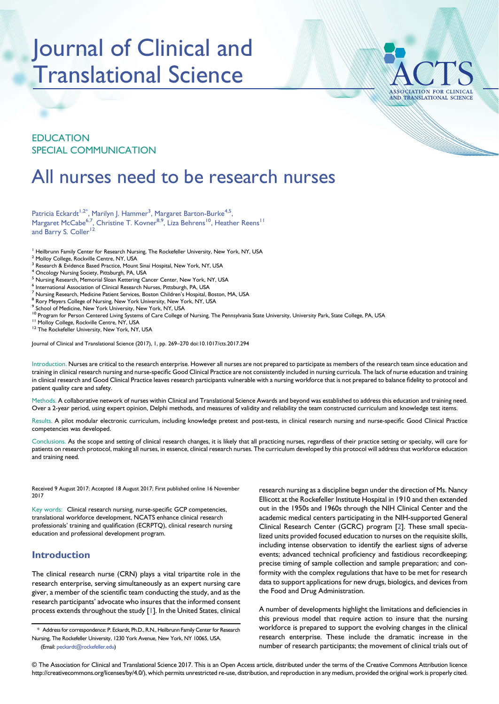# Journal of Clinical and Translational Science



### EDUCATION SPECIAL COMMUNICATION

# All nurses need to be research nurses

Patricia Eckardt<sup>1,2\*</sup>, Marilyn J. Hammer<sup>3</sup>, Margaret Barton-Burke<sup>4,5</sup>, Margaret McCabe<sup>6,7</sup>, Christine T. Kovner<sup>8,9</sup>, Liza Behrens<sup>10</sup>, Heather Reens<sup>11</sup> and Barry S. Coller<sup>12</sup>

- <sup>1</sup> Heilbrunn Family Center for Research Nursing, The Rockefeller University, New York, NY, USA
- <sup>2</sup> Molloy College, Rockville Centre, NY, USA
- 3 Research & Evidence Based Practice, Mount Sinai Hospital, New York, NY, USA
- <sup>4</sup> Oncology Nursing Society, Pittsburgh, PA, USA
- <sup>5</sup> Nursing Research, Memorial Sloan Kettering Cancer Center, New York, NY, USA
- International Association of Clinical Research Nurses, Pittsburgh, PA, USA
- <sup>7</sup> Nursing Research, Medicine Patient Services, Boston Children's Hospital, Boston, MA, USA  $^8$  Rory Meyers College of Nursing, New York University, New York, NY, USA
- 
- <sup>9</sup> School of Medicine, New York University, New York, NY, USA
- <sup>10</sup> Program for Person Centered Living Systems of Care College of Nursing, The Pennsylvania State University, University Park, State College, PA, USA <sup>11</sup> Molloy College, Rockville Centre, NY, USA **11**<br><sup>11</sup> Molloy Colleg
- 
- 

Journal of Clinical and Translational Science (2017), 1, pp. 269-270 doi:10.1017/cts.2017.294

Introduction. Nurses are critical to the research enterprise. However all nurses are not prepared to participate as members of the research team since education and training in clinical research nursing and nurse-specific Good Clinical Practice are not consistently included in nursing curricula. The lack of nurse education and training in clinical research and Good Clinical Practice leaves research participants vulnerable with a nursing workforce that is not prepared to balance fidelity to protocol and patient quality care and safety.

Methods. A collaborative network of nurses within Clinical and Translational Science Awards and beyond was established to address this education and training need. Over a 2-year period, using expert opinion, Delphi methods, and measures of validity and reliability the team constructed curriculum and knowledge test items.

Results. A pilot modular electronic curriculum, including knowledge pretest and post-tests, in clinical research nursing and nurse-specific Good Clinical Practice competencies was developed.

Conclusions. As the scope and setting of clinical research changes, it is likely that all practicing nurses, regardless of their practice setting or specialty, will care for patients on research protocol, making all nurses, in essence, clinical research nurses. The curriculum developed by this protocol will address that workforce education and training need.

Received 9 August 2017; Accepted 18 August 2017; First published online 16 November 2017

Key words: Clinical research nursing, nurse-specific GCP competencies, translational workforce development, NCATS enhance clinical research professionals' training and qualification (ECRPTQ), clinical research nursing education and professional development program.

### Introduction

The clinical research nurse (CRN) plays a vital tripartite role in the research enterprise, serving simultaneously as an expert nursing care giver, a member of the scientific team conducting the study, and as the research participants' advocate who insures that the informed consent process extends throughout the study [\[1\]](#page-3-0). In the United States, clinical

research nursing as a discipline began under the direction of Ms. Nancy Ellicott at the Rockefeller Institute Hospital in 1910 and then extended out in the 1950s and 1960s through the NIH Clinical Center and the academic medical centers participating in the NIH-supported General Clinical Research Center (GCRC) program [[2](#page-3-0)]. These small specialized units provided focused education to nurses on the requisite skills, including intense observation to identify the earliest signs of adverse events; advanced technical proficiency and fastidious recordkeeping; precise timing of sample collection and sample preparation; and conformity with the complex regulations that have to be met for research data to support applications for new drugs, biologics, and devices from the Food and Drug Administration.

A number of developments highlight the limitations and deficiencies in this previous model that require action to insure that the nursing workforce is prepared to support the evolving changes in the clinical research enterprise. These include the dramatic increase in the number of research participants; the movement of clinical trials out of

© The Association for Clinical and Translational Science 2017. This is an Open Access article, distributed under the terms of the Creative Commons Attribution licence http://creativecommons.org/licenses/by/4.0/), which permits unrestricted re-use, distribution, and reproduction in any medium, provided the original work is properly cited.

<sup>\*</sup> Address for correspondence: P. Eckardt, Ph.D., R.N., Heilbrunn Family Center for Research Nursing, The Rockefeller University, 1230 York Avenue, New York, NY 10065, USA. (Email: [peckardt@rockefeller.edu](mailto:peckardt@rockefeller.edu))